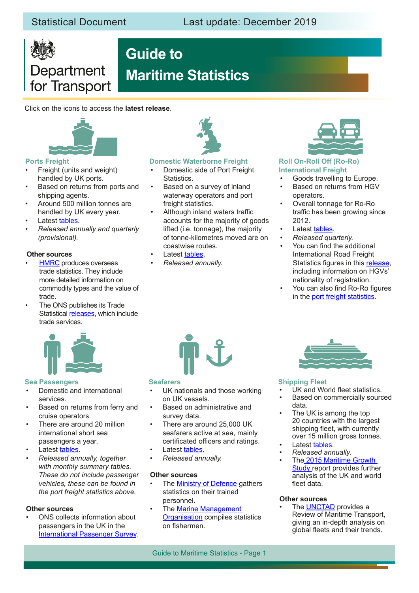# Department for Transport

# **Guide to Maritime Statistics**

Click on the icons to access the **latest release**.



### **Ports Freight**

- Freight (units and weight) handled by UK ports.
- Based on returns from ports and shipping agents.
- Around 500 million tonnes are handled by UK every year.
- Latest [tables.](https://www.gov.uk/government/statistical-data-sets/port-and-domestic-waterborne-freight-statistics-port)
- *• Released annually and quarterly (provisional).*

#### **Other sources**

- **HMRC** produces overseas trade statistics. They include more detailed information on commodity types and the value of trade.
- The ONS publishes its Trade Statistical [releases](https://www.ons.gov.uk/economy/nationalaccounts/balanceofpayments/bulletins/uktrade/previousReleases), which include trade services.



#### **Domestic Waterborne Freight**

- Domestic side of Port Freight Statistics.
- Based on a survey of inland waterway operators and port freight statistics.
- Although inland waters traffic accounts for the majority of goods lifted (i.e. tonnage), the majority of tonne-kilometres moved are on coastwise routes.
- Latest [tables.](https://www.gov.uk/government/statistical-data-sets/port-and-domestic-waterborne-freight-statistics-port#domestic-freight)
- *• Released annually.*



#### **Roll On-Roll Off (Ro-Ro) International Freight**

- Goods travelling to Europe.
- Based on returns from HGV operators.
- Overall tonnage for Ro-Ro traffic has been growing since 2012.
- Latest [tables.](https://www.gov.uk/government/statistical-data-sets/port-and-domestic-waterborne-freight-statistics-port)
- *• Released quarterly.*
- You can find the additional International Road Freight Statistics figures in this [release](https://www.gov.uk/government/statistical-data-sets/rfs02-international-road-haulage), including information on HGVs' nationality of registration.
- You can also find Ro-Ro figures in the [port freight statistics](https://www.gov.uk/government/collections/maritime-and-shipping-statistics#port-and-domestic-waterborne-freight-statistics).



#### **Sea [Passengers](https://www.gov.uk/government/collections/maritime-and-shipping-statistics#sea-passenger-statistics)**

- Domestic and international services.
- Based on returns from ferry and cruise operators.
- There are around 20 million international short sea passengers a year.
- Latest [tables.](https://www.gov.uk/government/statistical-data-sets/sea-passenger-statistics-spas)
- *• Released annually, together with monthly summary tables. These do not include passenger vehicles, these can be found in the port freight statistics above.*

#### **Other sources**

• ONS collects information about passengers in the UK in the [International Passenger Survey.](https://www.ons.gov.uk/surveys/informationforhouseholdsandindividuals/householdandindividualsurveys/internationalpassengersurvey)



#### **Seafarers**

- UK nationals and those working on UK vessels.
- Based on administrative and survey data.
- There are around 25,000 UK seafarers active at sea, mainly certificated officers and ratings.
- Latest [tables.](https://www.gov.uk/government/statistical-data-sets/seafarer-statistics-sfr)
- *• Released annually.*

#### **Other sources**

- The **Ministry of Defence** gathers statistics on their trained personnel.
- The Marine Management [Organisation](https://www.gov.uk/government/collections/uk-sea-fisheries-annual-statistics) compiles statistics on fishermen.



#### **Shipping Fleet**

- UK and World fleet statistics.
- Based on commercially sourced data.
- The UK is among the top 20 countries with the largest shipping feet, with currently over 15 million gross tonnes.
- Latest [tables.](https://www.gov.uk/government/statistical-data-sets/shipping-fleet-statistics)
- *• Released annually.*
- Th[e 2015 Maritime Growth](https://www.gov.uk/government/publications/maritime-growth-study-report)  [Study r](https://www.gov.uk/government/publications/maritime-growth-study-report)eport provides further analysis of the UK and world feet data.

#### **Other sources**

The **UNCTAD** provides a Review of Maritime Transport, giving an in-depth analysis on global feets and their trends.